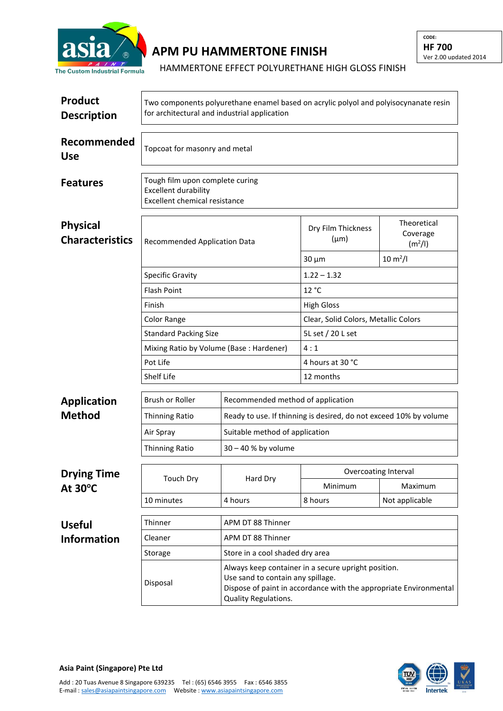

## **APM PU HAMMERTONE FINISH**

## HAMMERTONE EFFECT POLYURETHANE HIGH GLOSS FINISH

| <b>Product</b><br><b>Description</b>      | Two components polyurethane enamel based on acrylic polyol and polyisocynanate resin<br>for architectural and industrial application |                                                                                                                                                                                       |                                      |                                                |  |  |
|-------------------------------------------|--------------------------------------------------------------------------------------------------------------------------------------|---------------------------------------------------------------------------------------------------------------------------------------------------------------------------------------|--------------------------------------|------------------------------------------------|--|--|
| Recommended<br><b>Use</b>                 | Topcoat for masonry and metal                                                                                                        |                                                                                                                                                                                       |                                      |                                                |  |  |
| <b>Features</b>                           | Tough film upon complete curing<br><b>Excellent durability</b><br><b>Excellent chemical resistance</b>                               |                                                                                                                                                                                       |                                      |                                                |  |  |
| <b>Physical</b><br><b>Characteristics</b> | <b>Recommended Application Data</b>                                                                                                  |                                                                                                                                                                                       | Dry Film Thickness<br>$(\mu m)$      | Theoretical<br>Coverage<br>(m <sup>2</sup> /I) |  |  |
|                                           |                                                                                                                                      |                                                                                                                                                                                       | $30 \mu m$                           | $10 \, \text{m}^2$ /l                          |  |  |
|                                           | <b>Specific Gravity</b>                                                                                                              |                                                                                                                                                                                       | $1.22 - 1.32$                        |                                                |  |  |
|                                           | <b>Flash Point</b>                                                                                                                   |                                                                                                                                                                                       | 12 °C                                |                                                |  |  |
|                                           | Finish                                                                                                                               |                                                                                                                                                                                       | <b>High Gloss</b>                    |                                                |  |  |
|                                           | <b>Color Range</b>                                                                                                                   |                                                                                                                                                                                       | Clear, Solid Colors, Metallic Colors |                                                |  |  |
|                                           | <b>Standard Packing Size</b>                                                                                                         |                                                                                                                                                                                       | 5L set / 20 L set                    |                                                |  |  |
|                                           | Mixing Ratio by Volume (Base: Hardener)                                                                                              |                                                                                                                                                                                       | 4:1                                  |                                                |  |  |
|                                           | Pot Life                                                                                                                             |                                                                                                                                                                                       | 4 hours at 30 °C                     |                                                |  |  |
|                                           | Shelf Life                                                                                                                           |                                                                                                                                                                                       | 12 months                            |                                                |  |  |
| <b>Application</b>                        | Brush or Roller                                                                                                                      | Recommended method of application                                                                                                                                                     |                                      |                                                |  |  |
| <b>Method</b>                             | Thinning Ratio                                                                                                                       | Ready to use. If thinning is desired, do not exceed 10% by volume                                                                                                                     |                                      |                                                |  |  |
|                                           | Air Spray                                                                                                                            | Suitable method of application                                                                                                                                                        |                                      |                                                |  |  |
|                                           | <b>Thinning Ratio</b>                                                                                                                | 30 - 40 % by volume                                                                                                                                                                   |                                      |                                                |  |  |
|                                           |                                                                                                                                      |                                                                                                                                                                                       |                                      |                                                |  |  |
| <b>Drying Time</b><br>At 30°C             | Touch Dry                                                                                                                            | Hard Dry                                                                                                                                                                              | Minimum                              | Overcoating Interval<br>Maximum                |  |  |
|                                           | 10 minutes                                                                                                                           | 4 hours                                                                                                                                                                               | 8 hours                              | Not applicable                                 |  |  |
|                                           |                                                                                                                                      |                                                                                                                                                                                       |                                      |                                                |  |  |
| <b>Useful</b>                             | Thinner                                                                                                                              | APM DT 88 Thinner                                                                                                                                                                     |                                      |                                                |  |  |
| <b>Information</b>                        | Cleaner                                                                                                                              | APM DT 88 Thinner                                                                                                                                                                     |                                      |                                                |  |  |
|                                           | Storage                                                                                                                              | Store in a cool shaded dry area                                                                                                                                                       |                                      |                                                |  |  |
|                                           | Disposal                                                                                                                             | Always keep container in a secure upright position.<br>Use sand to contain any spillage.<br>Dispose of paint in accordance with the appropriate Environmental<br>Quality Regulations. |                                      |                                                |  |  |